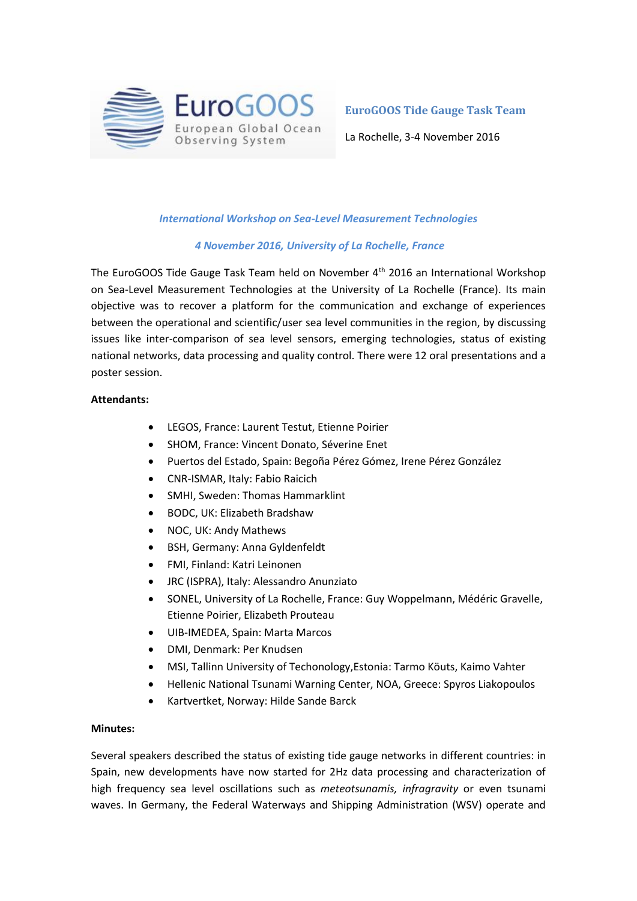

**EuroGOOS Tide Gauge Task Team**

La Rochelle, 3-4 November 2016

## *International Workshop on Sea-Level Measurement Technologies*

## *4 November 2016, University of La Rochelle, France*

The EuroGOOS Tide Gauge Task Team held on November 4<sup>th</sup> 2016 an International Workshop on Sea-Level Measurement Technologies at the University of La Rochelle (France). Its main objective was to recover a platform for the communication and exchange of experiences between the operational and scientific/user sea level communities in the region, by discussing issues like inter-comparison of sea level sensors, emerging technologies, status of existing national networks, data processing and quality control. There were 12 oral presentations and a poster session.

#### **Attendants:**

- LEGOS, France: Laurent Testut, Etienne Poirier
- SHOM, France: Vincent Donato, Séverine Enet
- Puertos del Estado, Spain: Begoña Pérez Gómez, Irene Pérez González
- CNR-ISMAR, Italy: Fabio Raicich
- SMHI, Sweden: Thomas Hammarklint
- BODC, UK: Elizabeth Bradshaw
- NOC, UK: Andy Mathews
- BSH, Germany: Anna Gyldenfeldt
- FMI, Finland: Katri Leinonen
- JRC (ISPRA), Italy: Alessandro Anunziato
- SONEL, University of La Rochelle, France: Guy Woppelmann, Médéric Gravelle, Etienne Poirier, Elizabeth Prouteau
- UIB-IMEDEA, Spain: Marta Marcos
- DMI, Denmark: Per Knudsen
- MSI, Tallinn University of Techonology,Estonia: Tarmo Köuts, Kaimo Vahter
- Hellenic National Tsunami Warning Center, NOA, Greece: Spyros Liakopoulos
- Kartvertket, Norway: Hilde Sande Barck

#### **Minutes:**

Several speakers described the status of existing tide gauge networks in different countries: in Spain, new developments have now started for 2Hz data processing and characterization of high frequency sea level oscillations such as *meteotsunamis, infragravity* or even tsunami waves. In Germany, the Federal Waterways and Shipping Administration (WSV) operate and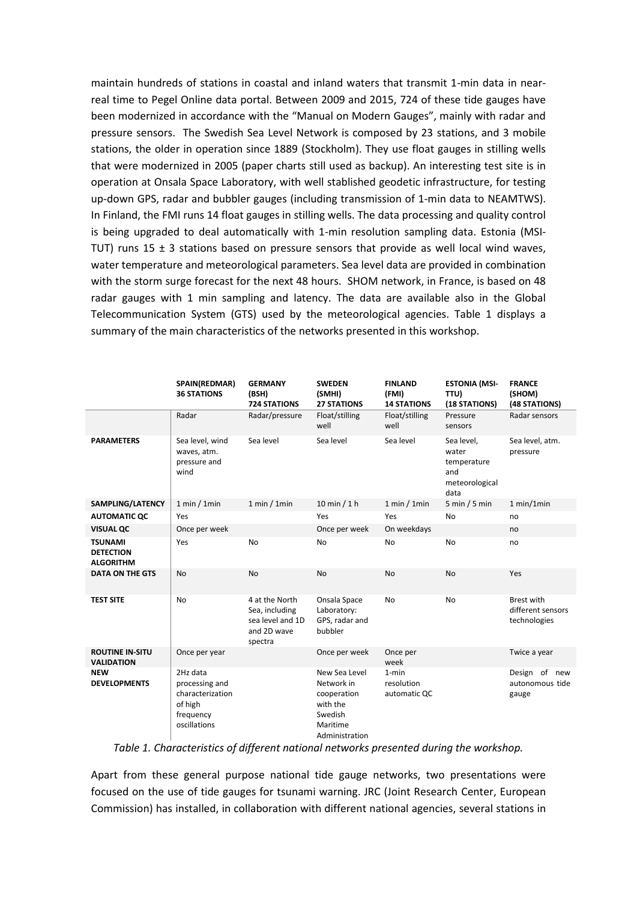maintain hundreds of stations in coastal and inland waters that transmit 1-min data in nearreal time to Pegel Online data portal. Between 2009 and 2015, 724 of these tide gauges have been modernized in accordance with the "Manual on Modern Gauges", mainly with radar and pressure sensors. The Swedish Sea Level Network is composed by 23 stations, and 3 mobile stations, the older in operation since 1889 (Stockholm). They use float gauges in stilling wells that were modernized in 2005 (paper charts still used as backup). An interesting test site is in operation at Onsala Space Laboratory, with well stablished geodetic infrastructure, for testing up-down GPS, radar and bubbler gauges (including transmission of 1-min data to NEAMTWS). In Finland, the FMI runs 14 float gauges in stilling wells. The data processing and quality control is being upgraded to deal automatically with 1-min resolution sampling data. Estonia (MSI-TUT) runs 15  $\pm$  3 stations based on pressure sensors that provide as well local wind waves, water temperature and meteorological parameters. Sea level data are provided in combination with the storm surge forecast for the next 48 hours. SHOM network, in France, is based on 48 radar gauges with 1 min sampling and latency. The data are available also in the Global Telecommunication System (GTS) used by the meteorological agencies. Table 1 displays a summary of the main characteristics of the networks presented in this workshop.

|                                                        | SPAIN(REDMAR)<br><b>36 STATIONS</b>                                                    | <b>GERMANY</b><br>(BSH)<br><b>724 STATIONS</b>                                 | <b>SWEDEN</b><br>(SMHI)<br><b>27 STATIONS</b>                                                   | <b>FINLAND</b><br>(FMI)<br><b>14 STATIONS</b> | <b>ESTONIA (MSI-</b><br>TTU)<br>(18 STATIONS)                       | <b>FRANCE</b><br>(SHOM)<br>(48 STATIONS)               |
|--------------------------------------------------------|----------------------------------------------------------------------------------------|--------------------------------------------------------------------------------|-------------------------------------------------------------------------------------------------|-----------------------------------------------|---------------------------------------------------------------------|--------------------------------------------------------|
|                                                        | Radar                                                                                  | Radar/pressure                                                                 | Float/stilling<br>well                                                                          | Float/stilling<br>well                        | Pressure<br>sensors                                                 | Radar sensors                                          |
| <b>PARAMETERS</b>                                      | Sea level, wind<br>waves, atm.<br>pressure and<br>wind                                 | Sea level                                                                      | Sea level                                                                                       | Sea level                                     | Sea level.<br>water<br>temperature<br>and<br>meteorological<br>data | Sea level, atm.<br>pressure                            |
| SAMPLING/LATENCY                                       | 1 min / 1 min                                                                          | 1 min / 1 min                                                                  | $10 \text{ min} / 1 \text{ h}$                                                                  | 1 min / 1 min                                 | 5 min / 5 min                                                       | 1 min/1 min                                            |
| <b>AUTOMATIC QC</b>                                    | Yes                                                                                    |                                                                                | Yes                                                                                             | Yes                                           | <b>No</b>                                                           | no                                                     |
| <b>VISUAL QC</b>                                       | Once per week                                                                          |                                                                                | Once per week                                                                                   | On weekdays                                   |                                                                     | no                                                     |
| <b>TSUNAMI</b><br><b>DETECTION</b><br><b>ALGORITHM</b> | Yes                                                                                    | <b>No</b>                                                                      | No                                                                                              | No                                            | <b>No</b>                                                           | no                                                     |
| <b>DATA ON THE GTS</b>                                 | No                                                                                     | <b>No</b>                                                                      | No                                                                                              | No                                            | <b>No</b>                                                           | Yes                                                    |
| <b>TEST SITE</b>                                       | <b>No</b>                                                                              | 4 at the North<br>Sea, including<br>sea level and 1D<br>and 2D wave<br>spectra | Onsala Space<br>Laboratory:<br>GPS, radar and<br>bubbler                                        | <b>No</b>                                     | <b>No</b>                                                           | <b>Brest with</b><br>different sensors<br>technologies |
| <b>ROUTINE IN-SITU</b><br><b>VALIDATION</b>            | Once per year                                                                          |                                                                                | Once per week                                                                                   | Once per<br>week                              |                                                                     | Twice a year                                           |
| <b>NEW</b><br><b>DEVELOPMENTS</b>                      | 2Hz data<br>processing and<br>characterization<br>of high<br>frequency<br>oscillations |                                                                                | New Sea Level<br>Network in<br>cooperation<br>with the<br>Swedish<br>Maritime<br>Administration | $1 - min$<br>resolution<br>automatic QC       |                                                                     | Design of new<br>autonomous tide<br>gauge              |

*Table 1. Characteristics of different national networks presented during the workshop.*

Apart from these general purpose national tide gauge networks, two presentations were focused on the use of tide gauges for tsunami warning. JRC (Joint Research Center, European Commission) has installed, in collaboration with different national agencies, several stations in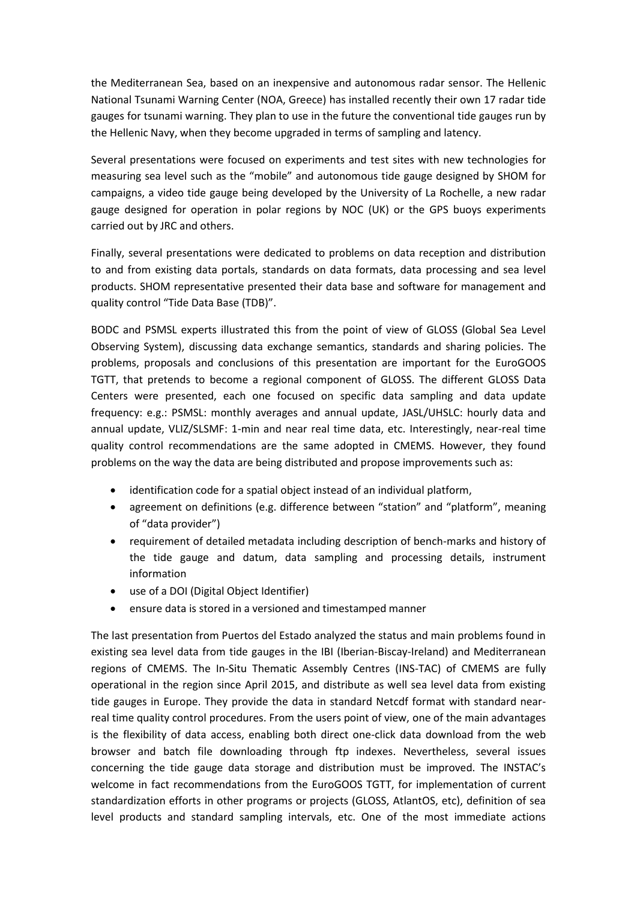the Mediterranean Sea, based on an inexpensive and autonomous radar sensor. The Hellenic National Tsunami Warning Center (NOA, Greece) has installed recently their own 17 radar tide gauges for tsunami warning. They plan to use in the future the conventional tide gauges run by the Hellenic Navy, when they become upgraded in terms of sampling and latency.

Several presentations were focused on experiments and test sites with new technologies for measuring sea level such as the "mobile" and autonomous tide gauge designed by SHOM for campaigns, a video tide gauge being developed by the University of La Rochelle, a new radar gauge designed for operation in polar regions by NOC (UK) or the GPS buoys experiments carried out by JRC and others.

Finally, several presentations were dedicated to problems on data reception and distribution to and from existing data portals, standards on data formats, data processing and sea level products. SHOM representative presented their data base and software for management and quality control "Tide Data Base (TDB)".

BODC and PSMSL experts illustrated this from the point of view of GLOSS (Global Sea Level Observing System), discussing data exchange semantics, standards and sharing policies. The problems, proposals and conclusions of this presentation are important for the EuroGOOS TGTT, that pretends to become a regional component of GLOSS. The different GLOSS Data Centers were presented, each one focused on specific data sampling and data update frequency: e.g.: PSMSL: monthly averages and annual update, JASL/UHSLC: hourly data and annual update, VLIZ/SLSMF: 1-min and near real time data, etc. Interestingly, near-real time quality control recommendations are the same adopted in CMEMS. However, they found problems on the way the data are being distributed and propose improvements such as:

- identification code for a spatial object instead of an individual platform,
- agreement on definitions (e.g. difference between "station" and "platform", meaning of "data provider")
- requirement of detailed metadata including description of bench-marks and history of the tide gauge and datum, data sampling and processing details, instrument information
- use of a DOI (Digital Object Identifier)
- ensure data is stored in a versioned and timestamped manner

The last presentation from Puertos del Estado analyzed the status and main problems found in existing sea level data from tide gauges in the IBI (Iberian-Biscay-Ireland) and Mediterranean regions of CMEMS. The In-Situ Thematic Assembly Centres (INS-TAC) of CMEMS are fully operational in the region since April 2015, and distribute as well sea level data from existing tide gauges in Europe. They provide the data in standard Netcdf format with standard nearreal time quality control procedures. From the users point of view, one of the main advantages is the flexibility of data access, enabling both direct one-click data download from the web browser and batch file downloading through ftp indexes. Nevertheless, several issues concerning the tide gauge data storage and distribution must be improved. The INSTAC's welcome in fact recommendations from the EuroGOOS TGTT, for implementation of current standardization efforts in other programs or projects (GLOSS, AtlantOS, etc), definition of sea level products and standard sampling intervals, etc. One of the most immediate actions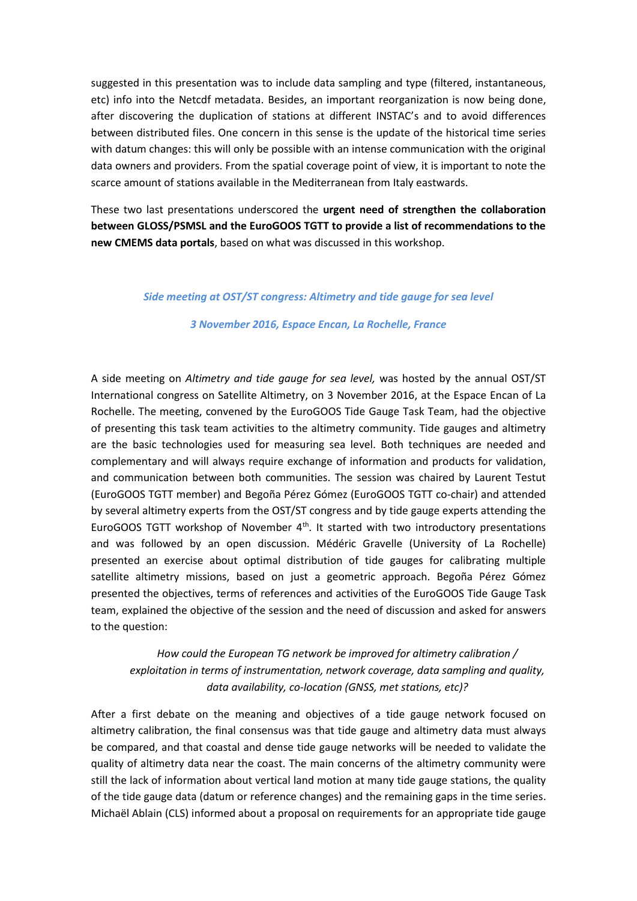suggested in this presentation was to include data sampling and type (filtered, instantaneous, etc) info into the Netcdf metadata. Besides, an important reorganization is now being done, after discovering the duplication of stations at different INSTAC's and to avoid differences between distributed files. One concern in this sense is the update of the historical time series with datum changes: this will only be possible with an intense communication with the original data owners and providers. From the spatial coverage point of view, it is important to note the scarce amount of stations available in the Mediterranean from Italy eastwards.

These two last presentations underscored the **urgent need of strengthen the collaboration between GLOSS/PSMSL and the EuroGOOS TGTT to provide a list of recommendations to the new CMEMS data portals**, based on what was discussed in this workshop.

#### *Side meeting at OST/ST congress: Altimetry and tide gauge for sea level*

#### *3 November 2016, Espace Encan, La Rochelle, France*

A side meeting on *Altimetry and tide gauge for sea level,* was hosted by the annual OST/ST International congress on Satellite Altimetry, on 3 November 2016, at the Espace Encan of La Rochelle. The meeting, convened by the EuroGOOS Tide Gauge Task Team, had the objective of presenting this task team activities to the altimetry community. Tide gauges and altimetry are the basic technologies used for measuring sea level. Both techniques are needed and complementary and will always require exchange of information and products for validation, and communication between both communities. The session was chaired by Laurent Testut (EuroGOOS TGTT member) and Begoña Pérez Gómez (EuroGOOS TGTT co-chair) and attended by several altimetry experts from the OST/ST congress and by tide gauge experts attending the EuroGOOS TGTT workshop of November  $4<sup>th</sup>$ . It started with two introductory presentations and was followed by an open discussion. Médéric Gravelle (University of La Rochelle) presented an exercise about optimal distribution of tide gauges for calibrating multiple satellite altimetry missions, based on just a geometric approach. Begoña Pérez Gómez presented the objectives, terms of references and activities of the EuroGOOS Tide Gauge Task team, explained the objective of the session and the need of discussion and asked for answers to the question:

# *How could the European TG network be improved for altimetry calibration / exploitation in terms of instrumentation, network coverage, data sampling and quality, data availability, co-location (GNSS, met stations, etc)?*

After a first debate on the meaning and objectives of a tide gauge network focused on altimetry calibration, the final consensus was that tide gauge and altimetry data must always be compared, and that coastal and dense tide gauge networks will be needed to validate the quality of altimetry data near the coast. The main concerns of the altimetry community were still the lack of information about vertical land motion at many tide gauge stations, the quality of the tide gauge data (datum or reference changes) and the remaining gaps in the time series. Michaël Ablain (CLS) informed about a proposal on requirements for an appropriate tide gauge